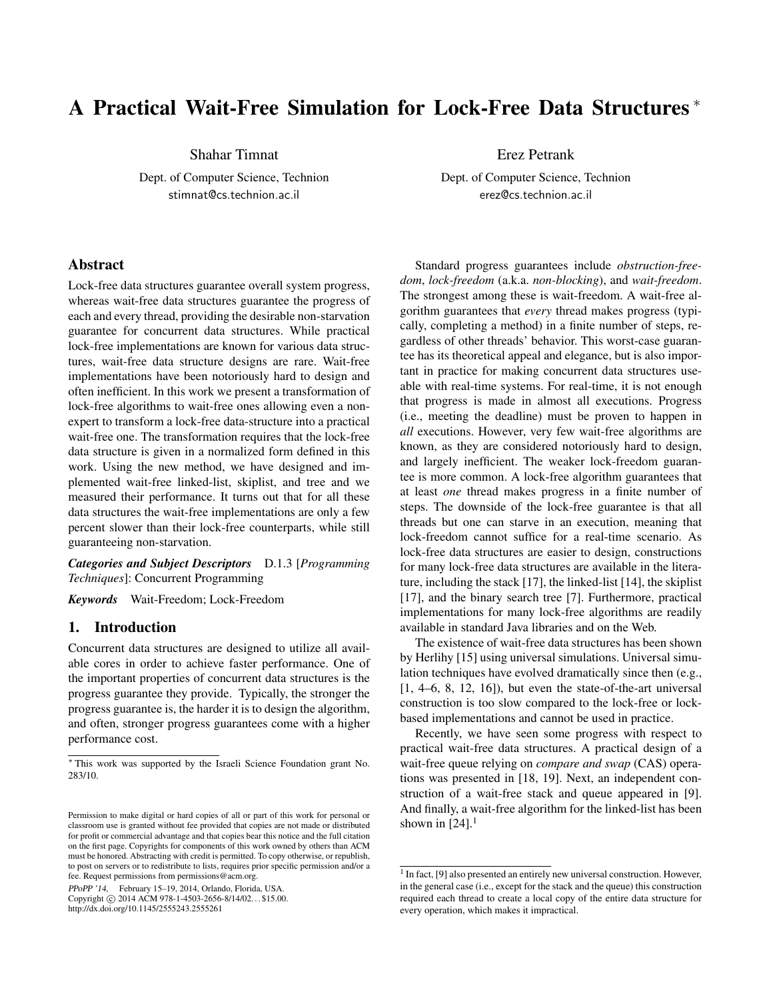# A Practical Wait-Free Simulation for Lock-Free Data Structures <sup>∗</sup>

Shahar Timnat

Dept. of Computer Science, Technion stimnat@cs.technion.ac.il

# Abstract

Lock-free data structures guarantee overall system progress, whereas wait-free data structures guarantee the progress of each and every thread, providing the desirable non-starvation guarantee for concurrent data structures. While practical lock-free implementations are known for various data structures, wait-free data structure designs are rare. Wait-free implementations have been notoriously hard to design and often inefficient. In this work we present a transformation of lock-free algorithms to wait-free ones allowing even a nonexpert to transform a lock-free data-structure into a practical wait-free one. The transformation requires that the lock-free data structure is given in a normalized form defined in this work. Using the new method, we have designed and implemented wait-free linked-list, skiplist, and tree and we measured their performance. It turns out that for all these data structures the wait-free implementations are only a few percent slower than their lock-free counterparts, while still guaranteeing non-starvation.

*Categories and Subject Descriptors* D.1.3 [*Programming Techniques*]: Concurrent Programming

*Keywords* Wait-Freedom; Lock-Freedom

## 1. Introduction

Concurrent data structures are designed to utilize all available cores in order to achieve faster performance. One of the important properties of concurrent data structures is the progress guarantee they provide. Typically, the stronger the progress guarantee is, the harder it is to design the algorithm, and often, stronger progress guarantees come with a higher performance cost.

PPoPP '14, February 15–19, 2014, Orlando, Florida, USA.

Copyright © 2014 ACM 978-1-4503-2656-8/14/02... \$15.00.

http://dx.doi.org/10.1145/2555243.2555261

Erez Petrank

Dept. of Computer Science, Technion erez@cs.technion.ac.il

Standard progress guarantees include *obstruction-freedom*, *lock-freedom* (a.k.a. *non-blocking*), and *wait-freedom*. The strongest among these is wait-freedom. A wait-free algorithm guarantees that *every* thread makes progress (typically, completing a method) in a finite number of steps, regardless of other threads' behavior. This worst-case guarantee has its theoretical appeal and elegance, but is also important in practice for making concurrent data structures useable with real-time systems. For real-time, it is not enough that progress is made in almost all executions. Progress (i.e., meeting the deadline) must be proven to happen in *all* executions. However, very few wait-free algorithms are known, as they are considered notoriously hard to design, and largely inefficient. The weaker lock-freedom guarantee is more common. A lock-free algorithm guarantees that at least *one* thread makes progress in a finite number of steps. The downside of the lock-free guarantee is that all threads but one can starve in an execution, meaning that lock-freedom cannot suffice for a real-time scenario. As lock-free data structures are easier to design, constructions for many lock-free data structures are available in the literature, including the stack [17], the linked-list [14], the skiplist [17], and the binary search tree [7]. Furthermore, practical implementations for many lock-free algorithms are readily available in standard Java libraries and on the Web.

The existence of wait-free data structures has been shown by Herlihy [15] using universal simulations. Universal simulation techniques have evolved dramatically since then (e.g., [1, 4–6, 8, 12, 16]), but even the state-of-the-art universal construction is too slow compared to the lock-free or lockbased implementations and cannot be used in practice.

Recently, we have seen some progress with respect to practical wait-free data structures. A practical design of a wait-free queue relying on *compare and swap* (CAS) operations was presented in [18, 19]. Next, an independent construction of a wait-free stack and queue appeared in [9]. And finally, a wait-free algorithm for the linked-list has been shown in  $[24]$ <sup>1</sup>

<sup>∗</sup> This work was supported by the Israeli Science Foundation grant No. 283/10.

Permission to make digital or hard copies of all or part of this work for personal or classroom use is granted without fee provided that copies are not made or distributed for profit or commercial advantage and that copies bear this notice and the full citation on the first page. Copyrights for components of this work owned by others than ACM must be honored. Abstracting with credit is permitted. To copy otherwise, or republish, to post on servers or to redistribute to lists, requires prior specific permission and/or a fee. Request permissions from permissions@acm.org.

<sup>&</sup>lt;sup>1</sup> In fact, [9] also presented an entirely new universal construction. However, in the general case (i.e., except for the stack and the queue) this construction required each thread to create a local copy of the entire data structure for every operation, which makes it impractical.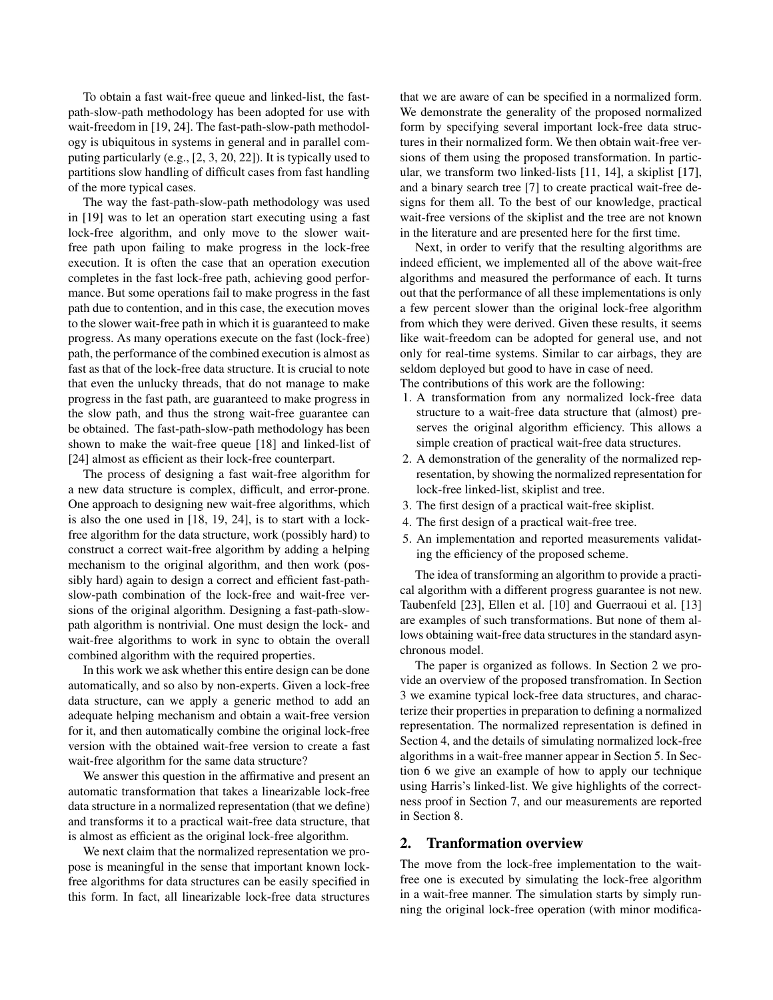To obtain a fast wait-free queue and linked-list, the fastpath-slow-path methodology has been adopted for use with wait-freedom in [19, 24]. The fast-path-slow-path methodology is ubiquitous in systems in general and in parallel computing particularly (e.g., [2, 3, 20, 22]). It is typically used to partitions slow handling of difficult cases from fast handling of the more typical cases.

The way the fast-path-slow-path methodology was used in [19] was to let an operation start executing using a fast lock-free algorithm, and only move to the slower waitfree path upon failing to make progress in the lock-free execution. It is often the case that an operation execution completes in the fast lock-free path, achieving good performance. But some operations fail to make progress in the fast path due to contention, and in this case, the execution moves to the slower wait-free path in which it is guaranteed to make progress. As many operations execute on the fast (lock-free) path, the performance of the combined execution is almost as fast as that of the lock-free data structure. It is crucial to note that even the unlucky threads, that do not manage to make progress in the fast path, are guaranteed to make progress in the slow path, and thus the strong wait-free guarantee can be obtained. The fast-path-slow-path methodology has been shown to make the wait-free queue [18] and linked-list of [24] almost as efficient as their lock-free counterpart.

The process of designing a fast wait-free algorithm for a new data structure is complex, difficult, and error-prone. One approach to designing new wait-free algorithms, which is also the one used in [18, 19, 24], is to start with a lockfree algorithm for the data structure, work (possibly hard) to construct a correct wait-free algorithm by adding a helping mechanism to the original algorithm, and then work (possibly hard) again to design a correct and efficient fast-pathslow-path combination of the lock-free and wait-free versions of the original algorithm. Designing a fast-path-slowpath algorithm is nontrivial. One must design the lock- and wait-free algorithms to work in sync to obtain the overall combined algorithm with the required properties.

In this work we ask whether this entire design can be done automatically, and so also by non-experts. Given a lock-free data structure, can we apply a generic method to add an adequate helping mechanism and obtain a wait-free version for it, and then automatically combine the original lock-free version with the obtained wait-free version to create a fast wait-free algorithm for the same data structure?

We answer this question in the affirmative and present an automatic transformation that takes a linearizable lock-free data structure in a normalized representation (that we define) and transforms it to a practical wait-free data structure, that is almost as efficient as the original lock-free algorithm.

We next claim that the normalized representation we propose is meaningful in the sense that important known lockfree algorithms for data structures can be easily specified in this form. In fact, all linearizable lock-free data structures

that we are aware of can be specified in a normalized form. We demonstrate the generality of the proposed normalized form by specifying several important lock-free data structures in their normalized form. We then obtain wait-free versions of them using the proposed transformation. In particular, we transform two linked-lists [11, 14], a skiplist [17], and a binary search tree [7] to create practical wait-free designs for them all. To the best of our knowledge, practical wait-free versions of the skiplist and the tree are not known in the literature and are presented here for the first time.

Next, in order to verify that the resulting algorithms are indeed efficient, we implemented all of the above wait-free algorithms and measured the performance of each. It turns out that the performance of all these implementations is only a few percent slower than the original lock-free algorithm from which they were derived. Given these results, it seems like wait-freedom can be adopted for general use, and not only for real-time systems. Similar to car airbags, they are seldom deployed but good to have in case of need. The contributions of this work are the following:

- 1. A transformation from any normalized lock-free data structure to a wait-free data structure that (almost) preserves the original algorithm efficiency. This allows a simple creation of practical wait-free data structures.
- 2. A demonstration of the generality of the normalized representation, by showing the normalized representation for lock-free linked-list, skiplist and tree.
- 3. The first design of a practical wait-free skiplist.
- 4. The first design of a practical wait-free tree.
- 5. An implementation and reported measurements validating the efficiency of the proposed scheme.

The idea of transforming an algorithm to provide a practical algorithm with a different progress guarantee is not new. Taubenfeld [23], Ellen et al. [10] and Guerraoui et al. [13] are examples of such transformations. But none of them allows obtaining wait-free data structures in the standard asynchronous model.

The paper is organized as follows. In Section 2 we provide an overview of the proposed transfromation. In Section 3 we examine typical lock-free data structures, and characterize their properties in preparation to defining a normalized representation. The normalized representation is defined in Section 4, and the details of simulating normalized lock-free algorithms in a wait-free manner appear in Section 5. In Section 6 we give an example of how to apply our technique using Harris's linked-list. We give highlights of the correctness proof in Section 7, and our measurements are reported in Section 8.

#### 2. Tranformation overview

The move from the lock-free implementation to the waitfree one is executed by simulating the lock-free algorithm in a wait-free manner. The simulation starts by simply running the original lock-free operation (with minor modifica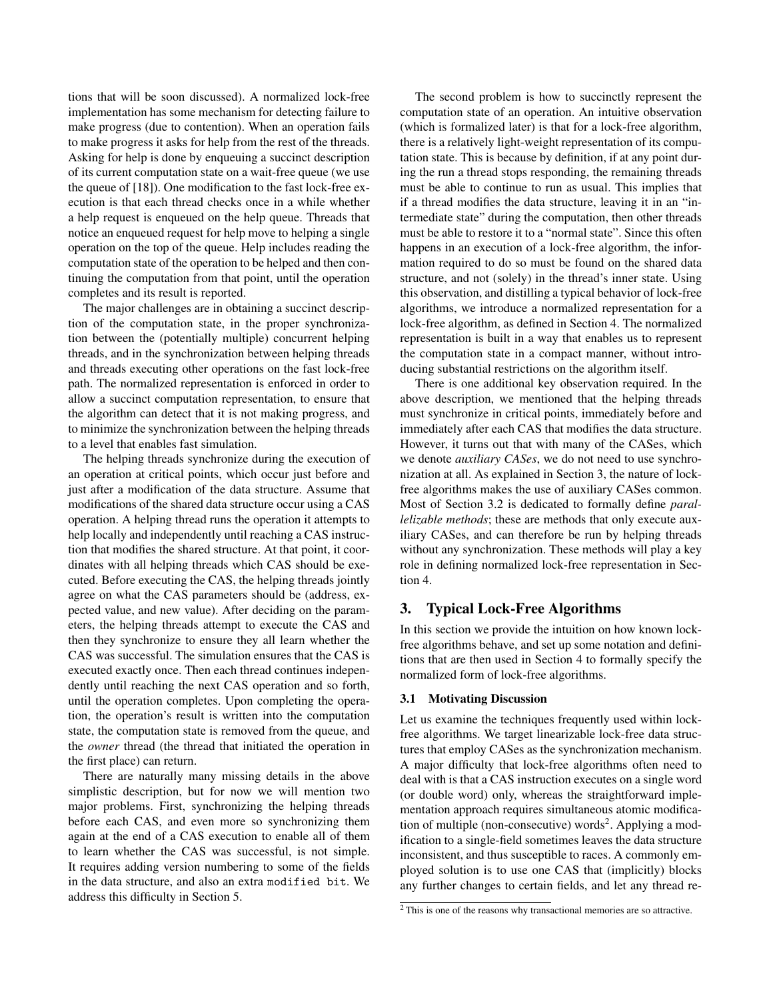tions that will be soon discussed). A normalized lock-free implementation has some mechanism for detecting failure to make progress (due to contention). When an operation fails to make progress it asks for help from the rest of the threads. Asking for help is done by enqueuing a succinct description of its current computation state on a wait-free queue (we use the queue of [18]). One modification to the fast lock-free execution is that each thread checks once in a while whether a help request is enqueued on the help queue. Threads that notice an enqueued request for help move to helping a single operation on the top of the queue. Help includes reading the computation state of the operation to be helped and then continuing the computation from that point, until the operation completes and its result is reported.

The major challenges are in obtaining a succinct description of the computation state, in the proper synchronization between the (potentially multiple) concurrent helping threads, and in the synchronization between helping threads and threads executing other operations on the fast lock-free path. The normalized representation is enforced in order to allow a succinct computation representation, to ensure that the algorithm can detect that it is not making progress, and to minimize the synchronization between the helping threads to a level that enables fast simulation.

The helping threads synchronize during the execution of an operation at critical points, which occur just before and just after a modification of the data structure. Assume that modifications of the shared data structure occur using a CAS operation. A helping thread runs the operation it attempts to help locally and independently until reaching a CAS instruction that modifies the shared structure. At that point, it coordinates with all helping threads which CAS should be executed. Before executing the CAS, the helping threads jointly agree on what the CAS parameters should be (address, expected value, and new value). After deciding on the parameters, the helping threads attempt to execute the CAS and then they synchronize to ensure they all learn whether the CAS was successful. The simulation ensures that the CAS is executed exactly once. Then each thread continues independently until reaching the next CAS operation and so forth, until the operation completes. Upon completing the operation, the operation's result is written into the computation state, the computation state is removed from the queue, and the *owner* thread (the thread that initiated the operation in the first place) can return.

There are naturally many missing details in the above simplistic description, but for now we will mention two major problems. First, synchronizing the helping threads before each CAS, and even more so synchronizing them again at the end of a CAS execution to enable all of them to learn whether the CAS was successful, is not simple. It requires adding version numbering to some of the fields in the data structure, and also an extra modified bit. We address this difficulty in Section 5.

The second problem is how to succinctly represent the computation state of an operation. An intuitive observation (which is formalized later) is that for a lock-free algorithm, there is a relatively light-weight representation of its computation state. This is because by definition, if at any point during the run a thread stops responding, the remaining threads must be able to continue to run as usual. This implies that if a thread modifies the data structure, leaving it in an "intermediate state" during the computation, then other threads must be able to restore it to a "normal state". Since this often happens in an execution of a lock-free algorithm, the information required to do so must be found on the shared data structure, and not (solely) in the thread's inner state. Using this observation, and distilling a typical behavior of lock-free algorithms, we introduce a normalized representation for a lock-free algorithm, as defined in Section 4. The normalized representation is built in a way that enables us to represent the computation state in a compact manner, without introducing substantial restrictions on the algorithm itself.

There is one additional key observation required. In the above description, we mentioned that the helping threads must synchronize in critical points, immediately before and immediately after each CAS that modifies the data structure. However, it turns out that with many of the CASes, which we denote *auxiliary CASes*, we do not need to use synchronization at all. As explained in Section 3, the nature of lockfree algorithms makes the use of auxiliary CASes common. Most of Section 3.2 is dedicated to formally define *parallelizable methods*; these are methods that only execute auxiliary CASes, and can therefore be run by helping threads without any synchronization. These methods will play a key role in defining normalized lock-free representation in Section 4.

## 3. Typical Lock-Free Algorithms

In this section we provide the intuition on how known lockfree algorithms behave, and set up some notation and definitions that are then used in Section 4 to formally specify the normalized form of lock-free algorithms.

#### 3.1 Motivating Discussion

Let us examine the techniques frequently used within lockfree algorithms. We target linearizable lock-free data structures that employ CASes as the synchronization mechanism. A major difficulty that lock-free algorithms often need to deal with is that a CAS instruction executes on a single word (or double word) only, whereas the straightforward implementation approach requires simultaneous atomic modification of multiple (non-consecutive) words<sup>2</sup>. Applying a modification to a single-field sometimes leaves the data structure inconsistent, and thus susceptible to races. A commonly employed solution is to use one CAS that (implicitly) blocks any further changes to certain fields, and let any thread re-

<sup>&</sup>lt;sup>2</sup> This is one of the reasons why transactional memories are so attractive.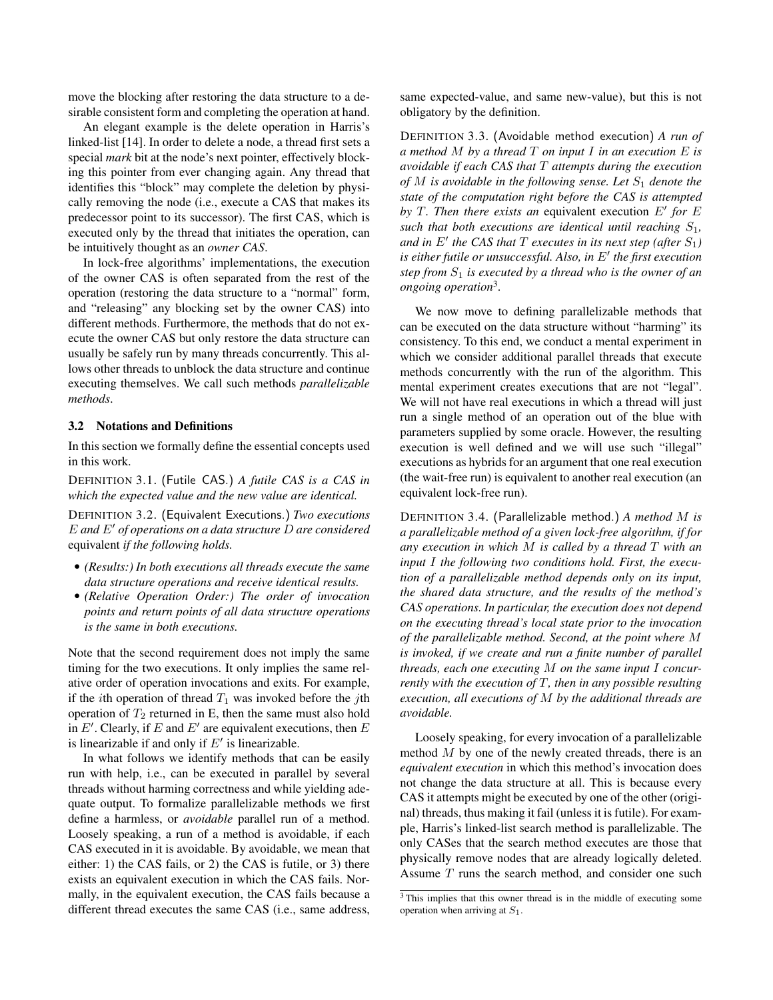move the blocking after restoring the data structure to a desirable consistent form and completing the operation at hand.

An elegant example is the delete operation in Harris's linked-list [14]. In order to delete a node, a thread first sets a special *mark* bit at the node's next pointer, effectively blocking this pointer from ever changing again. Any thread that identifies this "block" may complete the deletion by physically removing the node (i.e., execute a CAS that makes its predecessor point to its successor). The first CAS, which is executed only by the thread that initiates the operation, can be intuitively thought as an *owner CAS*.

In lock-free algorithms' implementations, the execution of the owner CAS is often separated from the rest of the operation (restoring the data structure to a "normal" form, and "releasing" any blocking set by the owner CAS) into different methods. Furthermore, the methods that do not execute the owner CAS but only restore the data structure can usually be safely run by many threads concurrently. This allows other threads to unblock the data structure and continue executing themselves. We call such methods *parallelizable methods*.

#### 3.2 Notations and Definitions

In this section we formally define the essential concepts used in this work.

DEFINITION 3.1. (Futile CAS.) *A futile CAS is a CAS in which the expected value and the new value are identical.*

DEFINITION 3.2. (Equivalent Executions.) *Two executions* E and E' of operations on a data structure D are considered equivalent *if the following holds.*

- *(Results:) In both executions all threads execute the same data structure operations and receive identical results.*
- *(Relative Operation Order:) The order of invocation points and return points of all data structure operations is the same in both executions.*

Note that the second requirement does not imply the same timing for the two executions. It only implies the same relative order of operation invocations and exits. For example, if the *i*th operation of thread  $T_1$  was invoked before the *j*th operation of  $T_2$  returned in E, then the same must also hold in  $E'$ . Clearly, if E and  $E'$  are equivalent executions, then E is linearizable if and only if  $E'$  is linearizable.

In what follows we identify methods that can be easily run with help, i.e., can be executed in parallel by several threads without harming correctness and while yielding adequate output. To formalize parallelizable methods we first define a harmless, or *avoidable* parallel run of a method. Loosely speaking, a run of a method is avoidable, if each CAS executed in it is avoidable. By avoidable, we mean that either: 1) the CAS fails, or 2) the CAS is futile, or 3) there exists an equivalent execution in which the CAS fails. Normally, in the equivalent execution, the CAS fails because a different thread executes the same CAS (i.e., same address,

same expected-value, and same new-value), but this is not obligatory by the definition.

DEFINITION 3.3. (Avoidable method execution) *A run of a method* M *by a thread* T *on input* I *in an execution* E *is avoidable if each CAS that* T *attempts during the execution of*  $M$  *is avoidable in the following sense. Let*  $S_1$  *denote the state of the computation right before the CAS is attempted* by  $T$ . Then there exists an equivalent execution  $E'$  for  $E$ *such that both executions are identical until reaching*  $S_1$ , and in  $E'$  the CAS that  $T$  executes in its next step (after  $S_1$ ) is either futile or unsuccessful. Also, in E<sup>1</sup> the first execution *step from*  $S_1$  *is executed by a thread who is the owner of an ongoing operation*<sup>3</sup> *.*

We now move to defining parallelizable methods that can be executed on the data structure without "harming" its consistency. To this end, we conduct a mental experiment in which we consider additional parallel threads that execute methods concurrently with the run of the algorithm. This mental experiment creates executions that are not "legal". We will not have real executions in which a thread will just run a single method of an operation out of the blue with parameters supplied by some oracle. However, the resulting execution is well defined and we will use such "illegal" executions as hybrids for an argument that one real execution (the wait-free run) is equivalent to another real execution (an equivalent lock-free run).

DEFINITION 3.4. (Parallelizable method.) *A method* M *is a parallelizable method of a given lock-free algorithm, if for any execution in which* M *is called by a thread* T *with an input* I *the following two conditions hold. First, the execution of a parallelizable method depends only on its input, the shared data structure, and the results of the method's CAS operations. In particular, the execution does not depend on the executing thread's local state prior to the invocation of the parallelizable method. Second, at the point where* M *is invoked, if we create and run a finite number of parallel threads, each one executing* M *on the same input* I *concurrently with the execution of* T*, then in any possible resulting execution, all executions of* M *by the additional threads are avoidable.*

Loosely speaking, for every invocation of a parallelizable method  $M$  by one of the newly created threads, there is an *equivalent execution* in which this method's invocation does not change the data structure at all. This is because every CAS it attempts might be executed by one of the other (original) threads, thus making it fail (unless it is futile). For example, Harris's linked-list search method is parallelizable. The only CASes that the search method executes are those that physically remove nodes that are already logically deleted. Assume  $T$  runs the search method, and consider one such

<sup>&</sup>lt;sup>3</sup> This implies that this owner thread is in the middle of executing some operation when arriving at  $S_1$ .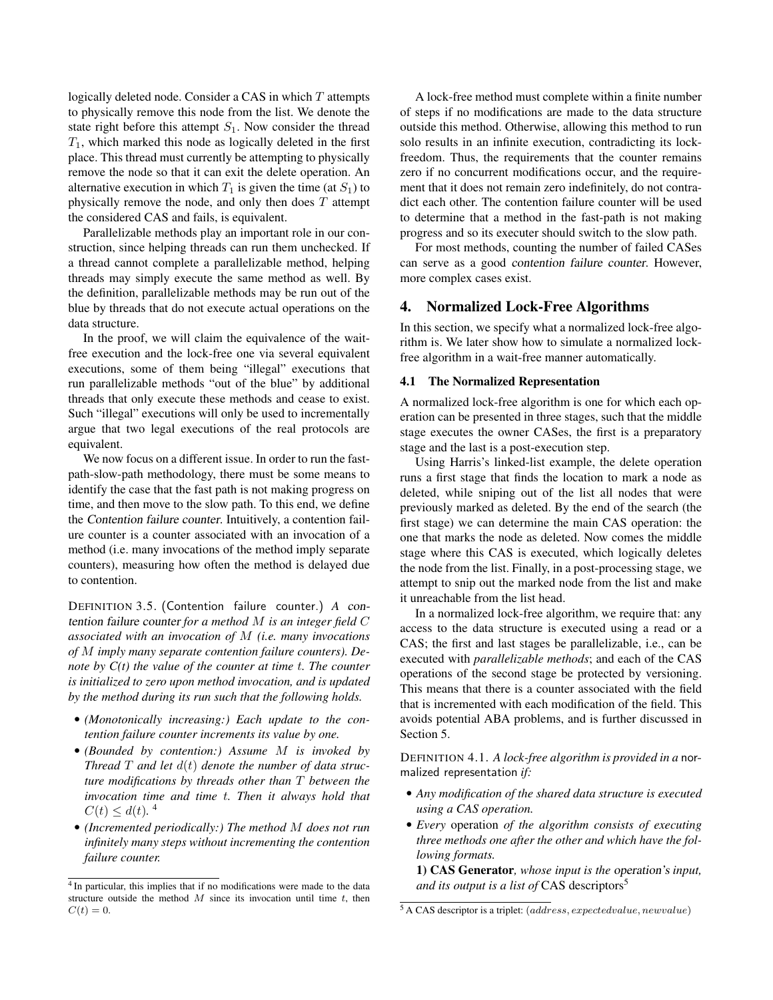logically deleted node. Consider a CAS in which T attempts to physically remove this node from the list. We denote the state right before this attempt  $S_1$ . Now consider the thread  $T_1$ , which marked this node as logically deleted in the first place. This thread must currently be attempting to physically remove the node so that it can exit the delete operation. An alternative execution in which  $T_1$  is given the time (at  $S_1$ ) to physically remove the node, and only then does  $T$  attempt the considered CAS and fails, is equivalent.

Parallelizable methods play an important role in our construction, since helping threads can run them unchecked. If a thread cannot complete a parallelizable method, helping threads may simply execute the same method as well. By the definition, parallelizable methods may be run out of the blue by threads that do not execute actual operations on the data structure.

In the proof, we will claim the equivalence of the waitfree execution and the lock-free one via several equivalent executions, some of them being "illegal" executions that run parallelizable methods "out of the blue" by additional threads that only execute these methods and cease to exist. Such "illegal" executions will only be used to incrementally argue that two legal executions of the real protocols are equivalent.

We now focus on a different issue. In order to run the fastpath-slow-path methodology, there must be some means to identify the case that the fast path is not making progress on time, and then move to the slow path. To this end, we define the Contention failure counter. Intuitively, a contention failure counter is a counter associated with an invocation of a method (i.e. many invocations of the method imply separate counters), measuring how often the method is delayed due to contention.

DEFINITION 3.5. (Contention failure counter.) *A* contention failure counter *for a method* M *is an integer field* C *associated with an invocation of* M *(i.e. many invocations of* M *imply many separate contention failure counters). Denote by C(t) the value of the counter at time t. The counter is initialized to zero upon method invocation, and is updated by the method during its run such that the following holds.*

- *(Monotonically increasing:) Each update to the contention failure counter increments its value by one.*
- *(Bounded by contention:) Assume* M *is invoked by Thread* T *and let* d(t) *denote the number of data structure modifications by threads other than* T *between the invocation time and time* t*. Then it always hold that*  $C(t) \leq d(t).$ <sup>4</sup>
- *(Incremented periodically:) The method* M *does not run infinitely many steps without incrementing the contention failure counter.*

A lock-free method must complete within a finite number of steps if no modifications are made to the data structure outside this method. Otherwise, allowing this method to run solo results in an infinite execution, contradicting its lockfreedom. Thus, the requirements that the counter remains zero if no concurrent modifications occur, and the requirement that it does not remain zero indefinitely, do not contradict each other. The contention failure counter will be used to determine that a method in the fast-path is not making progress and so its executer should switch to the slow path.

For most methods, counting the number of failed CASes can serve as a good contention failure counter. However, more complex cases exist.

## 4. Normalized Lock-Free Algorithms

In this section, we specify what a normalized lock-free algorithm is. We later show how to simulate a normalized lockfree algorithm in a wait-free manner automatically.

#### 4.1 The Normalized Representation

A normalized lock-free algorithm is one for which each operation can be presented in three stages, such that the middle stage executes the owner CASes, the first is a preparatory stage and the last is a post-execution step.

Using Harris's linked-list example, the delete operation runs a first stage that finds the location to mark a node as deleted, while sniping out of the list all nodes that were previously marked as deleted. By the end of the search (the first stage) we can determine the main CAS operation: the one that marks the node as deleted. Now comes the middle stage where this CAS is executed, which logically deletes the node from the list. Finally, in a post-processing stage, we attempt to snip out the marked node from the list and make it unreachable from the list head.

In a normalized lock-free algorithm, we require that: any access to the data structure is executed using a read or a CAS; the first and last stages be parallelizable, i.e., can be executed with *parallelizable methods*; and each of the CAS operations of the second stage be protected by versioning. This means that there is a counter associated with the field that is incremented with each modification of the field. This avoids potential ABA problems, and is further discussed in Section 5.

DEFINITION 4.1. *A lock-free algorithm is provided in a* normalized representation *if:*

- *Any modification of the shared data structure is executed using a CAS operation.*
- *Every* operation *of the algorithm consists of executing three methods one after the other and which have the following formats.*

1) CAS Generator*, whose input is the* operation's *input, and its output is a list of* CAS descriptors<sup>5</sup>

<sup>&</sup>lt;sup>4</sup> In particular, this implies that if no modifications were made to the data structure outside the method  $M$  since its invocation until time  $t$ , then  $C(t) = 0.$ 

<sup>5</sup> A CAS descriptor is a triplet: (address, expectedvalue, newvalue)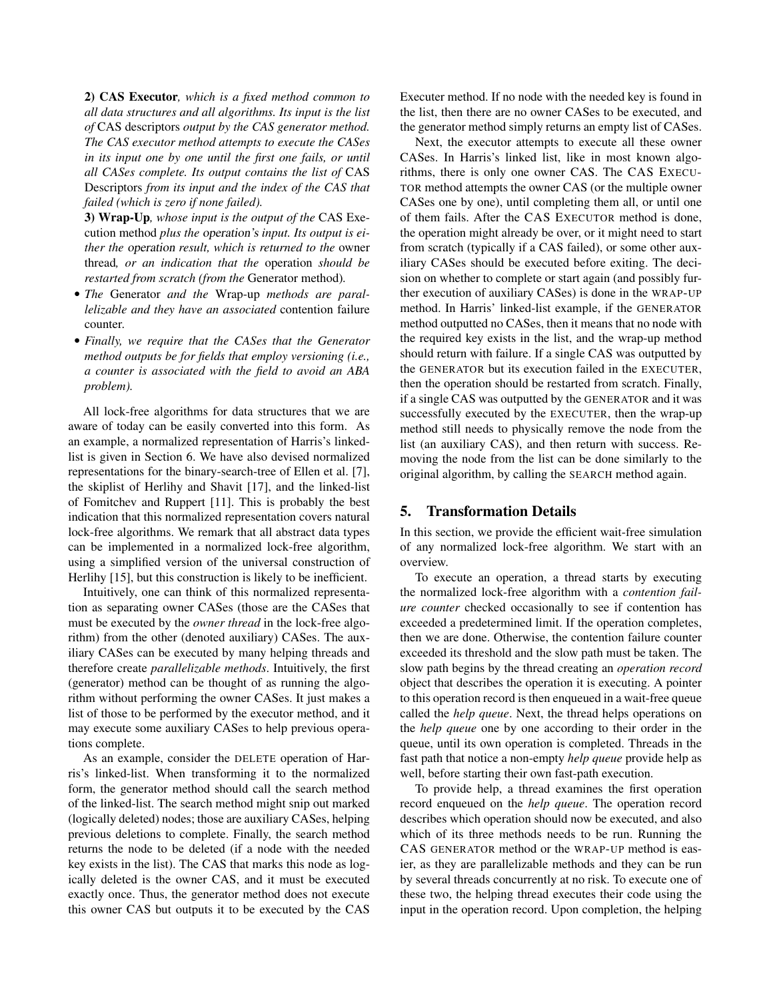2) CAS Executor*, which is a fixed method common to all data structures and all algorithms. Its input is the list of* CAS descriptors *output by the CAS generator method. The CAS executor method attempts to execute the CASes in its input one by one until the first one fails, or until all CASes complete. Its output contains the list of* CAS Descriptors *from its input and the index of the CAS that failed (which is zero if none failed).*

3) Wrap-Up*, whose input is the output of the* CAS Execution method *plus the* operation's *input. Its output is either the* operation *result, which is returned to the* owner thread*, or an indication that the* operation *should be restarted from scratch (from the* Generator method)*.*

- *The* Generator *and the* Wrap-up *methods are parallelizable and they have an associated* contention failure counter*.*
- *Finally, we require that the CASes that the Generator method outputs be for fields that employ versioning (i.e., a counter is associated with the field to avoid an ABA problem).*

All lock-free algorithms for data structures that we are aware of today can be easily converted into this form. As an example, a normalized representation of Harris's linkedlist is given in Section 6. We have also devised normalized representations for the binary-search-tree of Ellen et al. [7], the skiplist of Herlihy and Shavit [17], and the linked-list of Fomitchev and Ruppert [11]. This is probably the best indication that this normalized representation covers natural lock-free algorithms. We remark that all abstract data types can be implemented in a normalized lock-free algorithm, using a simplified version of the universal construction of Herlihy [15], but this construction is likely to be inefficient.

Intuitively, one can think of this normalized representation as separating owner CASes (those are the CASes that must be executed by the *owner thread* in the lock-free algorithm) from the other (denoted auxiliary) CASes. The auxiliary CASes can be executed by many helping threads and therefore create *parallelizable methods*. Intuitively, the first (generator) method can be thought of as running the algorithm without performing the owner CASes. It just makes a list of those to be performed by the executor method, and it may execute some auxiliary CASes to help previous operations complete.

As an example, consider the DELETE operation of Harris's linked-list. When transforming it to the normalized form, the generator method should call the search method of the linked-list. The search method might snip out marked (logically deleted) nodes; those are auxiliary CASes, helping previous deletions to complete. Finally, the search method returns the node to be deleted (if a node with the needed key exists in the list). The CAS that marks this node as logically deleted is the owner CAS, and it must be executed exactly once. Thus, the generator method does not execute this owner CAS but outputs it to be executed by the CAS Executer method. If no node with the needed key is found in the list, then there are no owner CASes to be executed, and the generator method simply returns an empty list of CASes.

Next, the executor attempts to execute all these owner CASes. In Harris's linked list, like in most known algorithms, there is only one owner CAS. The CAS EXECU-TOR method attempts the owner CAS (or the multiple owner CASes one by one), until completing them all, or until one of them fails. After the CAS EXECUTOR method is done, the operation might already be over, or it might need to start from scratch (typically if a CAS failed), or some other auxiliary CASes should be executed before exiting. The decision on whether to complete or start again (and possibly further execution of auxiliary CASes) is done in the WRAP-UP method. In Harris' linked-list example, if the GENERATOR method outputted no CASes, then it means that no node with the required key exists in the list, and the wrap-up method should return with failure. If a single CAS was outputted by the GENERATOR but its execution failed in the EXECUTER, then the operation should be restarted from scratch. Finally, if a single CAS was outputted by the GENERATOR and it was successfully executed by the EXECUTER, then the wrap-up method still needs to physically remove the node from the list (an auxiliary CAS), and then return with success. Removing the node from the list can be done similarly to the original algorithm, by calling the SEARCH method again.

### 5. Transformation Details

In this section, we provide the efficient wait-free simulation of any normalized lock-free algorithm. We start with an overview.

To execute an operation, a thread starts by executing the normalized lock-free algorithm with a *contention failure counter* checked occasionally to see if contention has exceeded a predetermined limit. If the operation completes, then we are done. Otherwise, the contention failure counter exceeded its threshold and the slow path must be taken. The slow path begins by the thread creating an *operation record* object that describes the operation it is executing. A pointer to this operation record is then enqueued in a wait-free queue called the *help queue*. Next, the thread helps operations on the *help queue* one by one according to their order in the queue, until its own operation is completed. Threads in the fast path that notice a non-empty *help queue* provide help as well, before starting their own fast-path execution.

To provide help, a thread examines the first operation record enqueued on the *help queue*. The operation record describes which operation should now be executed, and also which of its three methods needs to be run. Running the CAS GENERATOR method or the WRAP-UP method is easier, as they are parallelizable methods and they can be run by several threads concurrently at no risk. To execute one of these two, the helping thread executes their code using the input in the operation record. Upon completion, the helping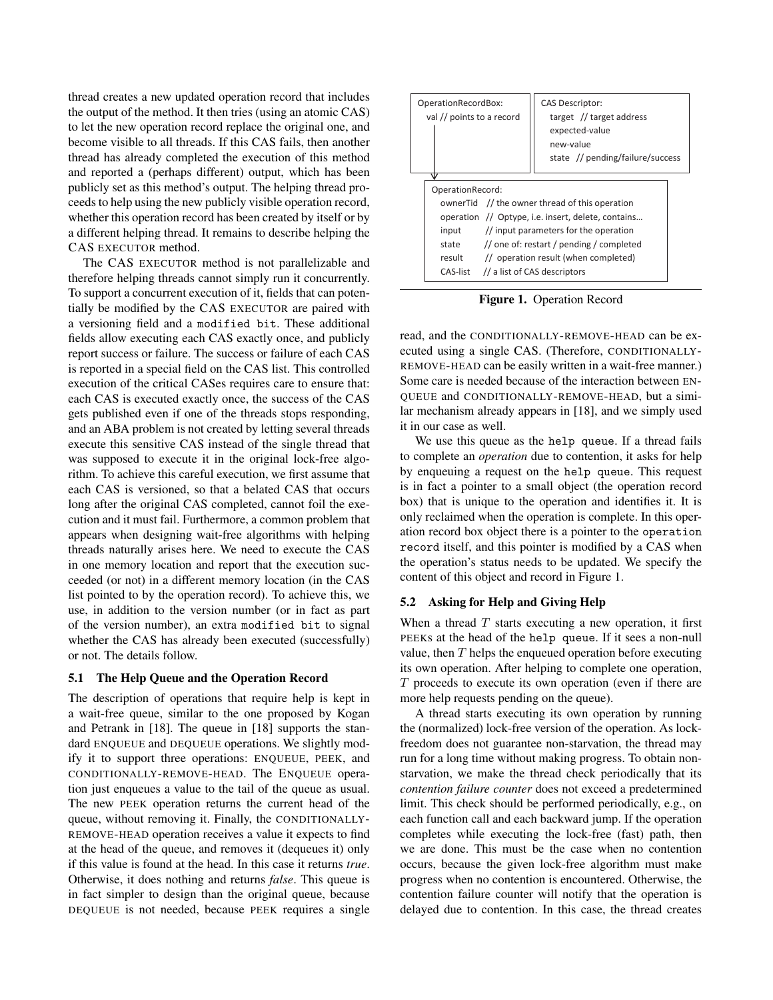thread creates a new updated operation record that includes the output of the method. It then tries (using an atomic CAS) to let the new operation record replace the original one, and become visible to all threads. If this CAS fails, then another thread has already completed the execution of this method and reported a (perhaps different) output, which has been publicly set as this method's output. The helping thread proceeds to help using the new publicly visible operation record, whether this operation record has been created by itself or by a different helping thread. It remains to describe helping the CAS EXECUTOR method.

The CAS EXECUTOR method is not parallelizable and therefore helping threads cannot simply run it concurrently. To support a concurrent execution of it, fields that can potentially be modified by the CAS EXECUTOR are paired with a versioning field and a modified bit. These additional fields allow executing each CAS exactly once, and publicly report success or failure. The success or failure of each CAS is reported in a special field on the CAS list. This controlled execution of the critical CASes requires care to ensure that: each CAS is executed exactly once, the success of the CAS gets published even if one of the threads stops responding, and an ABA problem is not created by letting several threads execute this sensitive CAS instead of the single thread that was supposed to execute it in the original lock-free algorithm. To achieve this careful execution, we first assume that each CAS is versioned, so that a belated CAS that occurs long after the original CAS completed, cannot foil the execution and it must fail. Furthermore, a common problem that appears when designing wait-free algorithms with helping threads naturally arises here. We need to execute the CAS in one memory location and report that the execution succeeded (or not) in a different memory location (in the CAS list pointed to by the operation record). To achieve this, we use, in addition to the version number (or in fact as part of the version number), an extra modified bit to signal whether the CAS has already been executed (successfully) or not. The details follow.

#### 5.1 The Help Queue and the Operation Record

The description of operations that require help is kept in a wait-free queue, similar to the one proposed by Kogan and Petrank in [18]. The queue in [18] supports the standard ENQUEUE and DEQUEUE operations. We slightly modify it to support three operations: ENQUEUE, PEEK, and CONDITIONALLY-REMOVE-HEAD. The ENQUEUE operation just enqueues a value to the tail of the queue as usual. The new PEEK operation returns the current head of the queue, without removing it. Finally, the CONDITIONALLY-REMOVE-HEAD operation receives a value it expects to find at the head of the queue, and removes it (dequeues it) only if this value is found at the head. In this case it returns *true*. Otherwise, it does nothing and returns *false*. This queue is in fact simpler to design than the original queue, because DEQUEUE is not needed, because PEEK requires a single

| OperationRecordBox:<br>val // points to a record                            | <b>CAS Descriptor:</b><br>target // target address<br>expected-value<br>new-value<br>state // pending/failure/success                                                                                                                    |
|-----------------------------------------------------------------------------|------------------------------------------------------------------------------------------------------------------------------------------------------------------------------------------------------------------------------------------|
| OperationRecord:<br>input<br>state<br>CAS-list // a list of CAS descriptors | ownerTid // the owner thread of this operation<br>operation // Optype, i.e. insert, delete, contains<br>// input parameters for the operation<br>// one of: restart / pending / completed<br>result // operation result (when completed) |

Figure 1. Operation Record

read, and the CONDITIONALLY-REMOVE-HEAD can be executed using a single CAS. (Therefore, CONDITIONALLY-REMOVE-HEAD can be easily written in a wait-free manner.) Some care is needed because of the interaction between EN-QUEUE and CONDITIONALLY-REMOVE-HEAD, but a similar mechanism already appears in [18], and we simply used it in our case as well.

We use this queue as the help queue. If a thread fails to complete an *operation* due to contention, it asks for help by enqueuing a request on the help queue. This request is in fact a pointer to a small object (the operation record box) that is unique to the operation and identifies it. It is only reclaimed when the operation is complete. In this operation record box object there is a pointer to the operation record itself, and this pointer is modified by a CAS when the operation's status needs to be updated. We specify the content of this object and record in Figure 1.

#### 5.2 Asking for Help and Giving Help

When a thread  $T$  starts executing a new operation, it first PEEKs at the head of the help queue. If it sees a non-null value, then  $T$  helps the enqueued operation before executing its own operation. After helping to complete one operation, T proceeds to execute its own operation (even if there are more help requests pending on the queue).

A thread starts executing its own operation by running the (normalized) lock-free version of the operation. As lockfreedom does not guarantee non-starvation, the thread may run for a long time without making progress. To obtain nonstarvation, we make the thread check periodically that its *contention failure counter* does not exceed a predetermined limit. This check should be performed periodically, e.g., on each function call and each backward jump. If the operation completes while executing the lock-free (fast) path, then we are done. This must be the case when no contention occurs, because the given lock-free algorithm must make progress when no contention is encountered. Otherwise, the contention failure counter will notify that the operation is delayed due to contention. In this case, the thread creates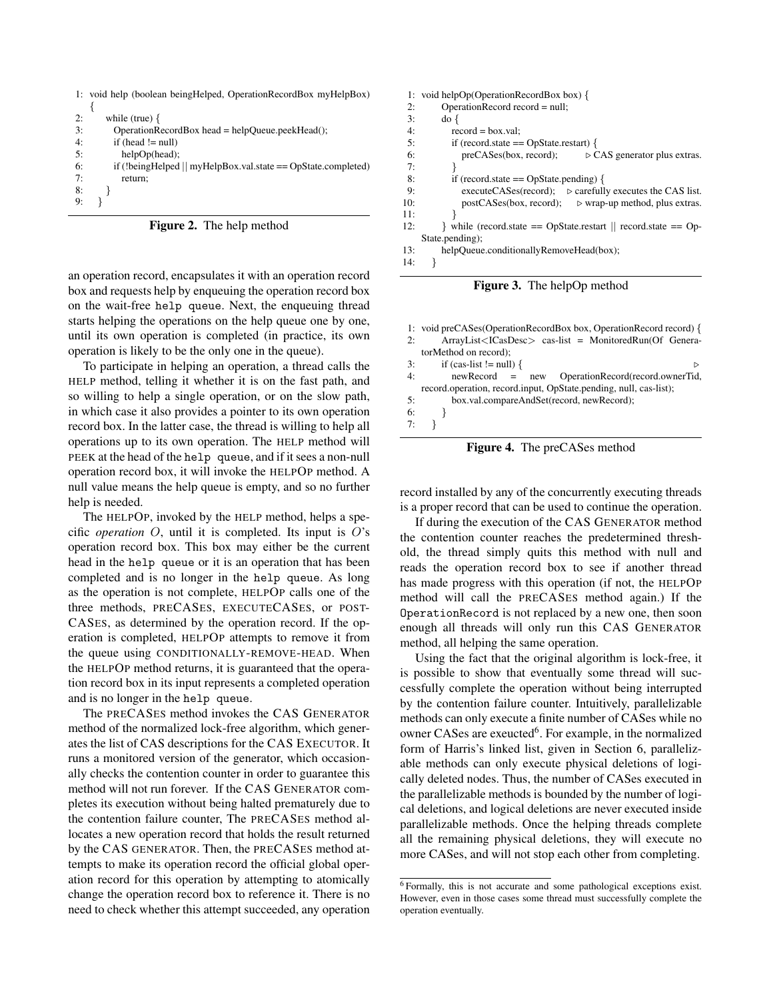|    | 1: void help (boolean being Helped, Operation Record Box my HelpBox) |
|----|----------------------------------------------------------------------|
|    |                                                                      |
| 2: | while (true) $\{$                                                    |
| 3: | $OperationRecordBox head = helpQueue. peekHead$ .                    |
| 4: | if (head $!=$ null)                                                  |
| 5: | helpOp(head);                                                        |
| 6: | if (!beingHelped   myHelpBox.val.state = $OpState.compileed)$ )      |
| 7: | return:                                                              |
| 8: |                                                                      |
| 9: |                                                                      |
|    |                                                                      |

Figure 2. The help method

an operation record, encapsulates it with an operation record box and requests help by enqueuing the operation record box on the wait-free help queue. Next, the enqueuing thread starts helping the operations on the help queue one by one, until its own operation is completed (in practice, its own operation is likely to be the only one in the queue).

To participate in helping an operation, a thread calls the HELP method, telling it whether it is on the fast path, and so willing to help a single operation, or on the slow path, in which case it also provides a pointer to its own operation record box. In the latter case, the thread is willing to help all operations up to its own operation. The HELP method will PEEK at the head of the help queue, and if it sees a non-null operation record box, it will invoke the HELPOP method. A null value means the help queue is empty, and so no further help is needed.

The HELPOP, invoked by the HELP method, helps a specific *operation*  $O$ , until it is completed. Its input is  $O$ 's operation record box. This box may either be the current head in the help queue or it is an operation that has been completed and is no longer in the help queue. As long as the operation is not complete, HELPOP calls one of the three methods, PRECASES, EXECUTECASES, or POST-CASES, as determined by the operation record. If the operation is completed, HELPOP attempts to remove it from the queue using CONDITIONALLY-REMOVE-HEAD. When the HELPOP method returns, it is guaranteed that the operation record box in its input represents a completed operation and is no longer in the help queue.

The PRECASES method invokes the CAS GENERATOR method of the normalized lock-free algorithm, which generates the list of CAS descriptions for the CAS EXECUTOR. It runs a monitored version of the generator, which occasionally checks the contention counter in order to guarantee this method will not run forever. If the CAS GENERATOR completes its execution without being halted prematurely due to the contention failure counter, The PRECASES method allocates a new operation record that holds the result returned by the CAS GENERATOR. Then, the PRECASES method attempts to make its operation record the official global operation record for this operation by attempting to atomically change the operation record box to reference it. There is no need to check whether this attempt succeeded, any operation

|     | 1: void helpOp(OperationRecordBox box) {                                  |
|-----|---------------------------------------------------------------------------|
| 2:  | $OperationRecord = null;$                                                 |
| 3:  | $d\sigma$ {                                                               |
| 4:  | $record = box.val$ ;                                                      |
| 5:  | if (record.state == $OpState.restart$ ) {                                 |
| 6:  | preCASes(box, record);<br>$\triangleright$ CAS generator plus extras.     |
| 7:  |                                                                           |
| 8:  | if (record.state $==$ OpState.pending) {                                  |
| 9:  | $executeCASes(record);$ $\triangleright$ carefully executes the CAS list. |
| 10: | $postCASes(box, record);$ $\rightarrow$ wrap-up method, plus extras.      |
| 11: |                                                                           |
| 12: | while (record.state $==$ OpState.restart    record.state $==$ Op-         |
|     | State.pending);                                                           |
| 13: | helpQueue.conditionallyRemoveHead(box);                                   |
| 14: |                                                                           |

Figure 3. The helpOp method

|    | 1: void preCASes(OperationRecordBox box, OperationRecord record) { |
|----|--------------------------------------------------------------------|
| 2: | $ArrayList < ICa sDesc > cas-list = Monitored Run (Of Genera-$     |
|    | torMethod on record);                                              |
| 3: | if (cas-list != null) {<br>▷                                       |
| 4: | newRecord = new OperationRecord(record.ownerTid,                   |
|    | record.operation, record.input, OpState.pending, null, cas-list);  |
| 5: | box.val.compareAndSet(record, newRecord);                          |
| 6: |                                                                    |
| 7: |                                                                    |
|    |                                                                    |

Figure 4. The preCASes method

record installed by any of the concurrently executing threads is a proper record that can be used to continue the operation.

If during the execution of the CAS GENERATOR method the contention counter reaches the predetermined threshold, the thread simply quits this method with null and reads the operation record box to see if another thread has made progress with this operation (if not, the HELPOP method will call the PRECASES method again.) If the OperationRecord is not replaced by a new one, then soon enough all threads will only run this CAS GENERATOR method, all helping the same operation.

Using the fact that the original algorithm is lock-free, it is possible to show that eventually some thread will successfully complete the operation without being interrupted by the contention failure counter. Intuitively, parallelizable methods can only execute a finite number of CASes while no owner CASes are exeucted<sup>6</sup>. For example, in the normalized form of Harris's linked list, given in Section 6, parallelizable methods can only execute physical deletions of logically deleted nodes. Thus, the number of CASes executed in the parallelizable methods is bounded by the number of logical deletions, and logical deletions are never executed inside parallelizable methods. Once the helping threads complete all the remaining physical deletions, they will execute no more CASes, and will not stop each other from completing.

<sup>6</sup> Formally, this is not accurate and some pathological exceptions exist. However, even in those cases some thread must successfully complete the operation eventually.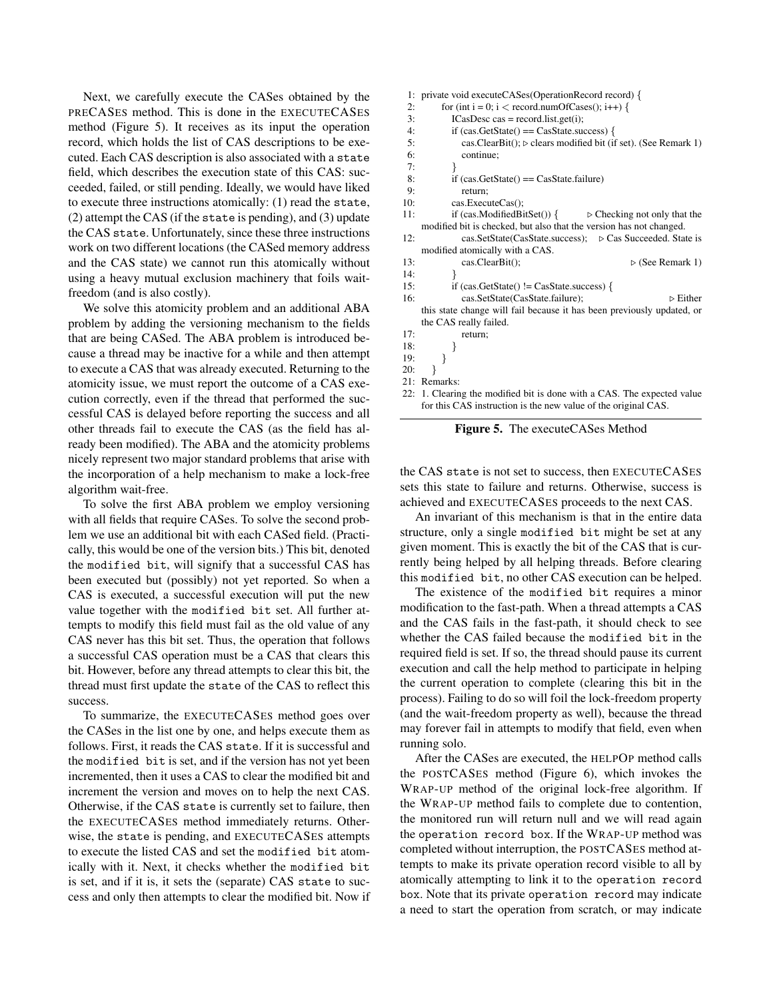Next, we carefully execute the CASes obtained by the PRECASES method. This is done in the EXECUTECASES method (Figure 5). It receives as its input the operation record, which holds the list of CAS descriptions to be executed. Each CAS description is also associated with a state field, which describes the execution state of this CAS: succeeded, failed, or still pending. Ideally, we would have liked to execute three instructions atomically: (1) read the state, (2) attempt the CAS (if the state is pending), and (3) update the CAS state. Unfortunately, since these three instructions work on two different locations (the CASed memory address and the CAS state) we cannot run this atomically without using a heavy mutual exclusion machinery that foils waitfreedom (and is also costly).

We solve this atomicity problem and an additional ABA problem by adding the versioning mechanism to the fields that are being CASed. The ABA problem is introduced because a thread may be inactive for a while and then attempt to execute a CAS that was already executed. Returning to the atomicity issue, we must report the outcome of a CAS execution correctly, even if the thread that performed the successful CAS is delayed before reporting the success and all other threads fail to execute the CAS (as the field has already been modified). The ABA and the atomicity problems nicely represent two major standard problems that arise with the incorporation of a help mechanism to make a lock-free algorithm wait-free.

To solve the first ABA problem we employ versioning with all fields that require CASes. To solve the second problem we use an additional bit with each CASed field. (Practically, this would be one of the version bits.) This bit, denoted the modified bit, will signify that a successful CAS has been executed but (possibly) not yet reported. So when a CAS is executed, a successful execution will put the new value together with the modified bit set. All further attempts to modify this field must fail as the old value of any CAS never has this bit set. Thus, the operation that follows a successful CAS operation must be a CAS that clears this bit. However, before any thread attempts to clear this bit, the thread must first update the state of the CAS to reflect this success.

To summarize, the EXECUTECASES method goes over the CASes in the list one by one, and helps execute them as follows. First, it reads the CAS state. If it is successful and the modified bit is set, and if the version has not yet been incremented, then it uses a CAS to clear the modified bit and increment the version and moves on to help the next CAS. Otherwise, if the CAS state is currently set to failure, then the EXECUTECASES method immediately returns. Otherwise, the state is pending, and EXECUTECASES attempts to execute the listed CAS and set the modified bit atomically with it. Next, it checks whether the modified bit is set, and if it is, it sets the (separate) CAS state to success and only then attempts to clear the modified bit. Now if 1: private void executeCASes(OperationRecord record) {

- 2: for (int i = 0; i < record.numOfCases(); i++) {
- 3: ICasDesc cas = record.list.get(i);
- 4: if  $(cas.GetState) = CasState.success)$  {
- 5: cas. ClearBit();  $\triangleright$  clears modified bit (if set). (See Remark 1)

6: continue;

- $7:$
- 8: if (cas.GetState() == CasState.failure)
- 9: return;
- 
- 10: cas.ExecuteCas();<br>11: if (cas.ModifiedBitSet()) { 11: if (cas.ModifiedBitSet()) {  $\triangleright$  Checking not only that the
- modified bit is checked, but also that the version has not changed. 12: cas.SetState(CasState.success);  $\triangleright$  Cas Succeeded. State is
- modified atomically with a CAS.
- 13: cas.ClearBit();  $\triangleright$  (See Remark 1)
- $14:$
- 15: if (cas.GetState() != CasState.success) {
- 16: cas.SetState(CasState.failure);  $\triangleright$  Either this state change will fail because it has been previously updated, or the CAS really failed.
- 17: return;
- 18: }
- $19:$  }
- 20: }
- 21: Remarks:
- 22: 1. Clearing the modified bit is done with a CAS. The expected value for this CAS instruction is the new value of the original CAS.

Figure 5. The executeCASes Method

the CAS state is not set to success, then EXECUTECASES sets this state to failure and returns. Otherwise, success is achieved and EXECUTECASES proceeds to the next CAS.

An invariant of this mechanism is that in the entire data structure, only a single modified bit might be set at any given moment. This is exactly the bit of the CAS that is currently being helped by all helping threads. Before clearing this modified bit, no other CAS execution can be helped.

The existence of the modified bit requires a minor modification to the fast-path. When a thread attempts a CAS and the CAS fails in the fast-path, it should check to see whether the CAS failed because the modified bit in the required field is set. If so, the thread should pause its current execution and call the help method to participate in helping the current operation to complete (clearing this bit in the process). Failing to do so will foil the lock-freedom property (and the wait-freedom property as well), because the thread may forever fail in attempts to modify that field, even when running solo.

After the CASes are executed, the HELPOP method calls the POSTCASES method (Figure 6), which invokes the WRAP-UP method of the original lock-free algorithm. If the WRAP-UP method fails to complete due to contention, the monitored run will return null and we will read again the operation record box. If the WRAP-UP method was completed without interruption, the POSTCASES method attempts to make its private operation record visible to all by atomically attempting to link it to the operation record box. Note that its private operation record may indicate a need to start the operation from scratch, or may indicate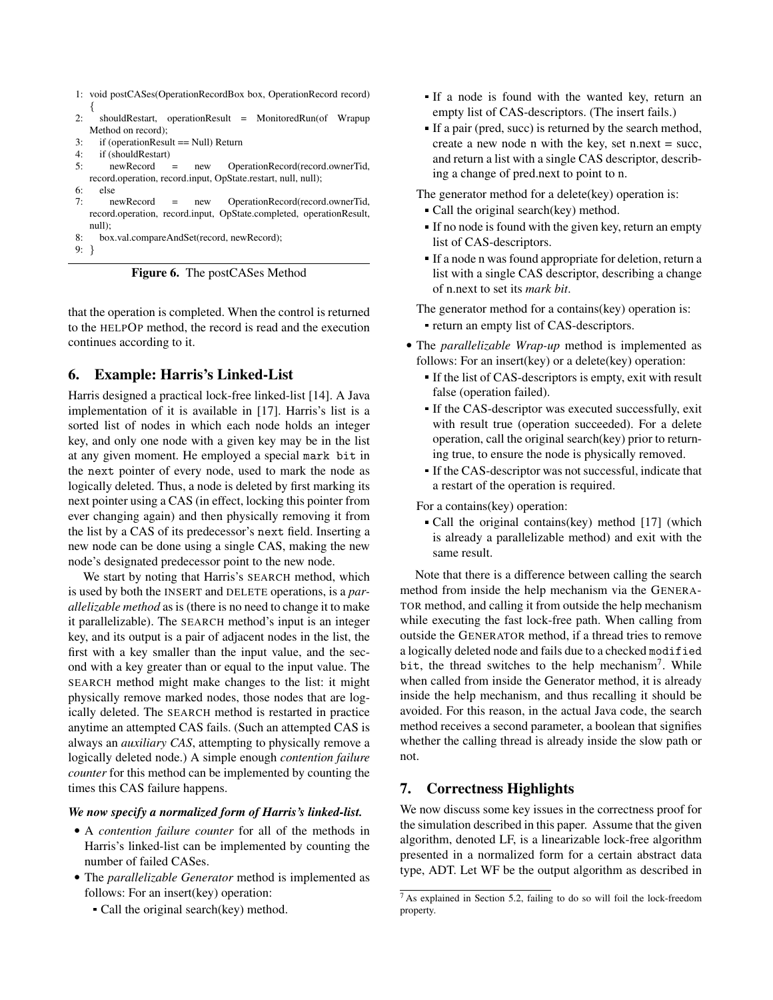```
1: void postCASes(OperationRecordBox box, OperationRecord record)
   {
2: shouldRestart, operationResult = MonitoredRun(of Wrapup
  Method on record);
3: if (operationResult == Null) Return
4: if (shouldRestart)
5: newRecord = new OperationRecord(record.ownerTid,
  record.operation, record.input, OpState.restart, null, null);
6: else
7: newRecord = new OperationRecord(record.ownerTid,
  record.operation, record.input, OpState.completed, operationResult,
  null);
8: box.val.compareAndSet(record, newRecord);
9: }
```
Figure 6. The postCASes Method

that the operation is completed. When the control is returned to the HELPOP method, the record is read and the execution continues according to it.

# 6. Example: Harris's Linked-List

Harris designed a practical lock-free linked-list [14]. A Java implementation of it is available in [17]. Harris's list is a sorted list of nodes in which each node holds an integer key, and only one node with a given key may be in the list at any given moment. He employed a special mark bit in the next pointer of every node, used to mark the node as logically deleted. Thus, a node is deleted by first marking its next pointer using a CAS (in effect, locking this pointer from ever changing again) and then physically removing it from the list by a CAS of its predecessor's next field. Inserting a new node can be done using a single CAS, making the new node's designated predecessor point to the new node.

We start by noting that Harris's SEARCH method, which is used by both the INSERT and DELETE operations, is a *parallelizable method* as is (there is no need to change it to make it parallelizable). The SEARCH method's input is an integer key, and its output is a pair of adjacent nodes in the list, the first with a key smaller than the input value, and the second with a key greater than or equal to the input value. The SEARCH method might make changes to the list: it might physically remove marked nodes, those nodes that are logically deleted. The SEARCH method is restarted in practice anytime an attempted CAS fails. (Such an attempted CAS is always an *auxiliary CAS*, attempting to physically remove a logically deleted node.) A simple enough *contention failure counter* for this method can be implemented by counting the times this CAS failure happens.

#### *We now specify a normalized form of Harris's linked-list.*

- A *contention failure counter* for all of the methods in Harris's linked-list can be implemented by counting the number of failed CASes.
- The *parallelizable Generator* method is implemented as follows: For an insert(key) operation:
	- Call the original search(key) method.
- If a node is found with the wanted key, return an empty list of CAS-descriptors. (The insert fails.)
- If a pair (pred, succ) is returned by the search method, create a new node n with the key, set n.next  $=$  succ, and return a list with a single CAS descriptor, describing a change of pred.next to point to n.

The generator method for a delete(key) operation is:

- Call the original search(key) method.
- If no node is found with the given key, return an empty list of CAS-descriptors.
- If a node n was found appropriate for deletion, return a list with a single CAS descriptor, describing a change of n.next to set its *mark bit*.

The generator method for a contains(key) operation is:

- return an empty list of CAS-descriptors.
- The *parallelizable Wrap-up* method is implemented as follows: For an insert(key) or a delete(key) operation:
	- If the list of CAS-descriptors is empty, exit with result false (operation failed).
	- If the CAS-descriptor was executed successfully, exit with result true (operation succeeded). For a delete operation, call the original search(key) prior to returning true, to ensure the node is physically removed.
	- If the CAS-descriptor was not successful, indicate that a restart of the operation is required.

For a contains(key) operation:

• Call the original contains(key) method [17] (which is already a parallelizable method) and exit with the same result.

Note that there is a difference between calling the search method from inside the help mechanism via the GENERA-TOR method, and calling it from outside the help mechanism while executing the fast lock-free path. When calling from outside the GENERATOR method, if a thread tries to remove a logically deleted node and fails due to a checked modified bit, the thread switches to the help mechanism<sup>7</sup>. While when called from inside the Generator method, it is already inside the help mechanism, and thus recalling it should be avoided. For this reason, in the actual Java code, the search method receives a second parameter, a boolean that signifies whether the calling thread is already inside the slow path or not.

# 7. Correctness Highlights

We now discuss some key issues in the correctness proof for the simulation described in this paper. Assume that the given algorithm, denoted LF, is a linearizable lock-free algorithm presented in a normalized form for a certain abstract data type, ADT. Let WF be the output algorithm as described in

 $7$ As explained in Section 5.2, failing to do so will foil the lock-freedom property.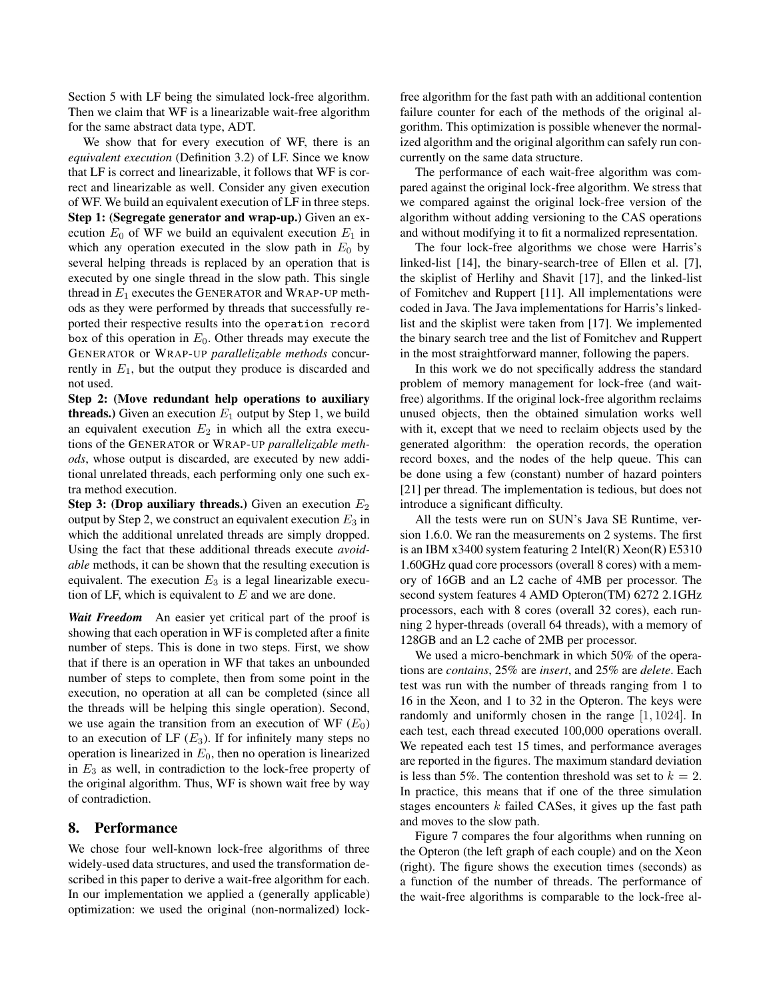Section 5 with LF being the simulated lock-free algorithm. Then we claim that WF is a linearizable wait-free algorithm for the same abstract data type, ADT.

We show that for every execution of WF, there is an *equivalent execution* (Definition 3.2) of LF. Since we know that LF is correct and linearizable, it follows that WF is correct and linearizable as well. Consider any given execution of WF. We build an equivalent execution of LF in three steps. Step 1: (Segregate generator and wrap-up.) Given an execution  $E_0$  of WF we build an equivalent execution  $E_1$  in which any operation executed in the slow path in  $E_0$  by several helping threads is replaced by an operation that is executed by one single thread in the slow path. This single thread in  $E_1$  executes the GENERATOR and WRAP-UP methods as they were performed by threads that successfully reported their respective results into the operation record box of this operation in  $E_0$ . Other threads may execute the GENERATOR or WRAP-UP *parallelizable methods* concurrently in  $E_1$ , but the output they produce is discarded and not used.

Step 2: (Move redundant help operations to auxiliary **threads.**) Given an execution  $E_1$  output by Step 1, we build an equivalent execution  $E_2$  in which all the extra executions of the GENERATOR or WRAP-UP *parallelizable methods*, whose output is discarded, are executed by new additional unrelated threads, each performing only one such extra method execution.

**Step 3: (Drop auxiliary threads.)** Given an execution  $E_2$ output by Step 2, we construct an equivalent execution  $E_3$  in which the additional unrelated threads are simply dropped. Using the fact that these additional threads execute *avoidable* methods, it can be shown that the resulting execution is equivalent. The execution  $E_3$  is a legal linearizable execution of LF, which is equivalent to  $E$  and we are done.

*Wait Freedom* An easier yet critical part of the proof is showing that each operation in WF is completed after a finite number of steps. This is done in two steps. First, we show that if there is an operation in WF that takes an unbounded number of steps to complete, then from some point in the execution, no operation at all can be completed (since all the threads will be helping this single operation). Second, we use again the transition from an execution of WF  $(E_0)$ to an execution of LF  $(E_3)$ . If for infinitely many steps no operation is linearized in  $E_0$ , then no operation is linearized in  $E_3$  as well, in contradiction to the lock-free property of the original algorithm. Thus, WF is shown wait free by way of contradiction.

## 8. Performance

We chose four well-known lock-free algorithms of three widely-used data structures, and used the transformation described in this paper to derive a wait-free algorithm for each. In our implementation we applied a (generally applicable) optimization: we used the original (non-normalized) lockfree algorithm for the fast path with an additional contention failure counter for each of the methods of the original algorithm. This optimization is possible whenever the normalized algorithm and the original algorithm can safely run concurrently on the same data structure.

The performance of each wait-free algorithm was compared against the original lock-free algorithm. We stress that we compared against the original lock-free version of the algorithm without adding versioning to the CAS operations and without modifying it to fit a normalized representation.

The four lock-free algorithms we chose were Harris's linked-list [14], the binary-search-tree of Ellen et al. [7], the skiplist of Herlihy and Shavit [17], and the linked-list of Fomitchev and Ruppert [11]. All implementations were coded in Java. The Java implementations for Harris's linkedlist and the skiplist were taken from [17]. We implemented the binary search tree and the list of Fomitchev and Ruppert in the most straightforward manner, following the papers.

In this work we do not specifically address the standard problem of memory management for lock-free (and waitfree) algorithms. If the original lock-free algorithm reclaims unused objects, then the obtained simulation works well with it, except that we need to reclaim objects used by the generated algorithm: the operation records, the operation record boxes, and the nodes of the help queue. This can be done using a few (constant) number of hazard pointers [21] per thread. The implementation is tedious, but does not introduce a significant difficulty.

All the tests were run on SUN's Java SE Runtime, version 1.6.0. We ran the measurements on 2 systems. The first is an IBM x3400 system featuring 2 Intel(R) Xeon(R) E5310 1.60GHz quad core processors (overall 8 cores) with a memory of 16GB and an L2 cache of 4MB per processor. The second system features 4 AMD Opteron(TM) 6272 2.1GHz processors, each with 8 cores (overall 32 cores), each running 2 hyper-threads (overall 64 threads), with a memory of 128GB and an L2 cache of 2MB per processor.

We used a micro-benchmark in which 50% of the operations are *contains*, 25% are *insert*, and 25% are *delete*. Each test was run with the number of threads ranging from 1 to 16 in the Xeon, and 1 to 32 in the Opteron. The keys were randomly and uniformly chosen in the range [1, 1024]. In each test, each thread executed 100,000 operations overall. We repeated each test 15 times, and performance averages are reported in the figures. The maximum standard deviation is less than 5%. The contention threshold was set to  $k = 2$ . In practice, this means that if one of the three simulation stages encounters  $k$  failed CASes, it gives up the fast path and moves to the slow path.

Figure 7 compares the four algorithms when running on the Opteron (the left graph of each couple) and on the Xeon (right). The figure shows the execution times (seconds) as a function of the number of threads. The performance of the wait-free algorithms is comparable to the lock-free al-